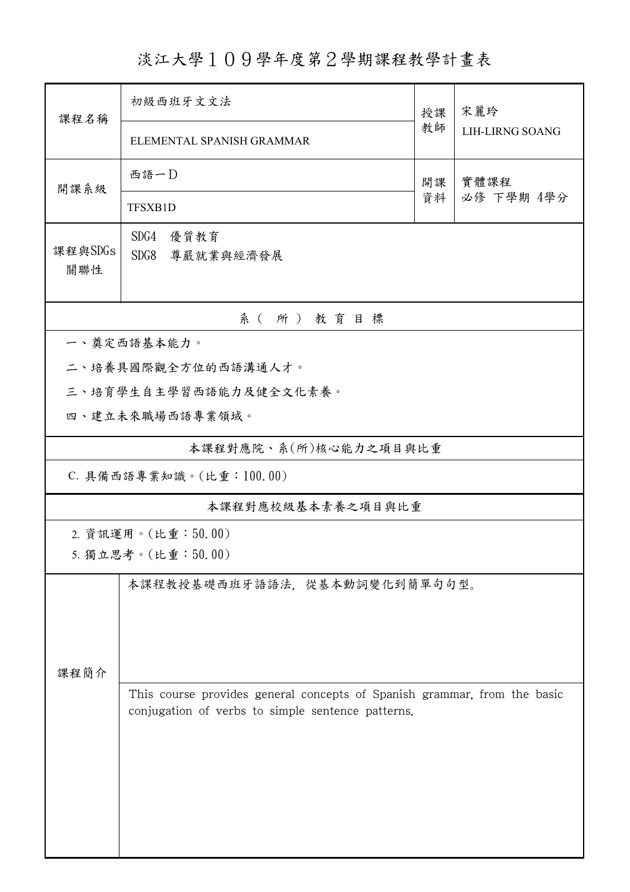淡江大學109學年度第2學期課程教學計畫表

| 課程名稱                                     | 初級西班牙文文法                                                                                                                      |          | 宋麗玲                    |  |  |  |  |
|------------------------------------------|-------------------------------------------------------------------------------------------------------------------------------|----------|------------------------|--|--|--|--|
|                                          | ELEMENTAL SPANISH GRAMMAR                                                                                                     | 教師       | <b>LIH-LIRNG SOANG</b> |  |  |  |  |
| 開課系級                                     | 西語一D                                                                                                                          | 開課<br>資料 | 實體課程<br>必修 下學期 4學分     |  |  |  |  |
|                                          | TFSXB1D                                                                                                                       |          |                        |  |  |  |  |
| 課程與SDGs<br>關聯性                           | SDG4<br>優質教育<br>SDG8<br>尊嚴就業與經濟發展                                                                                             |          |                        |  |  |  |  |
| 系(所)教育目標                                 |                                                                                                                               |          |                        |  |  |  |  |
| 一、奠定西語基本能力。                              |                                                                                                                               |          |                        |  |  |  |  |
|                                          | 二、培養具國際觀全方位的西語溝通人才。                                                                                                           |          |                        |  |  |  |  |
|                                          | 三、培育學生自主學習西語能力及健全文化素養。                                                                                                        |          |                        |  |  |  |  |
|                                          | 四、建立未來職場西語專業領域。                                                                                                               |          |                        |  |  |  |  |
| 本課程對應院、系(所)核心能力之項目與比重                    |                                                                                                                               |          |                        |  |  |  |  |
|                                          | C. 具備西語專業知識。(比重: 100.00)                                                                                                      |          |                        |  |  |  |  |
| 本課程對應校級基本素養之項目與比重                        |                                                                                                                               |          |                        |  |  |  |  |
| 2. 資訊運用。(比重:50.00)<br>5. 獨立思考。(比重:50.00) |                                                                                                                               |          |                        |  |  |  |  |
| 課程簡介                                     | 本課程教授基礎西班牙語語法,從基本動詞變化到簡單句句型。                                                                                                  |          |                        |  |  |  |  |
|                                          | This course provides general concepts of Spanish grammar, from the basic<br>conjugation of verbs to simple sentence patterns. |          |                        |  |  |  |  |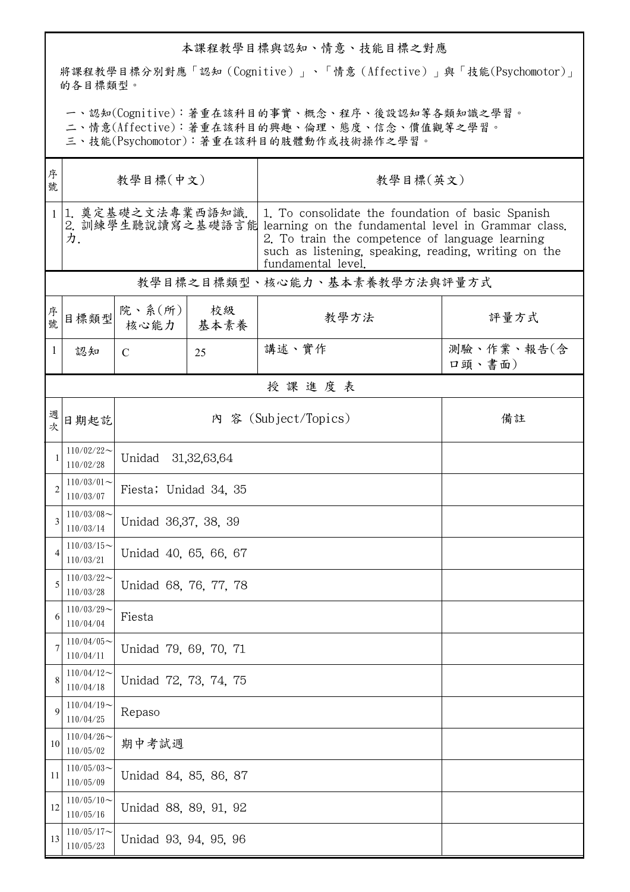## 本課程教學目標與認知、情意、技能目標之對應

將課程教學目標分別對應「認知(Cognitive)」、「情意(Affective)」與「技能(Psychomotor)」 的各目標類型。

一、認知(Cognitive):著重在該科目的事實、概念、程序、後設認知等各類知識之學習。

二、情意(Affective):著重在該科目的興趣、倫理、態度、信念、價值觀等之學習。

三、技能(Psychomotor):著重在該科目的肢體動作或技術操作之學習。

| 序<br>號       | 教學目標(中文)                     |                                 |    | 教學目標(英文)                                                                                                                                                                                                                                                    |                      |  |  |  |
|--------------|------------------------------|---------------------------------|----|-------------------------------------------------------------------------------------------------------------------------------------------------------------------------------------------------------------------------------------------------------------|----------------------|--|--|--|
|              | 1. 奠定基礎之文法專業西語知識.<br>力.      |                                 |    | 1. To consolidate the foundation of basic Spanish<br>2. 訓練學生聽說讀寫之基礎語言能 learning on the fundamental level in Grammar class.<br>2. To train the competence of language learning<br>such as listening, speaking, reading, writing on the<br>fundamental level, |                      |  |  |  |
|              | 教學目標之目標類型、核心能力、基本素養教學方法與評量方式 |                                 |    |                                                                                                                                                                                                                                                             |                      |  |  |  |
| 序號           | 目標類型                         | 院、系 $(\text{m})$<br>核心能力   基本素養 | 校級 | 教學方法                                                                                                                                                                                                                                                        | 評量方式                 |  |  |  |
| 1            | 認知                           | $\mathcal{C}$                   | 25 | 講述、實作                                                                                                                                                                                                                                                       | 測驗、作業、報告(含<br>口頭、書面) |  |  |  |
|              | 授課進度表                        |                                 |    |                                                                                                                                                                                                                                                             |                      |  |  |  |
| 週次           | 日期起訖                         |                                 |    | 內 容 (Subject/Topics)                                                                                                                                                                                                                                        | 備註                   |  |  |  |
| $\mathbf{1}$ | $110/02/22$ ~<br>110/02/28   | Unidad<br>31, 32, 63, 64        |    |                                                                                                                                                                                                                                                             |                      |  |  |  |
| 2            | $110/03/01$ ~<br>110/03/07   | Fiesta; Unidad 34, 35           |    |                                                                                                                                                                                                                                                             |                      |  |  |  |
| 3            | $110/03/08$ ~<br>110/03/14   | Unidad 36,37, 38, 39            |    |                                                                                                                                                                                                                                                             |                      |  |  |  |
| 4            | $110/03/15$ ~<br>110/03/21   | Unidad 40, 65, 66, 67           |    |                                                                                                                                                                                                                                                             |                      |  |  |  |
| 5            | $110/03/22$ ~<br>110/03/28   | Unidad 68, 76, 77, 78           |    |                                                                                                                                                                                                                                                             |                      |  |  |  |
| 6            | $110/03/29$ ~<br>110/04/04   | Fiesta                          |    |                                                                                                                                                                                                                                                             |                      |  |  |  |
| 7            | $110/04/05$ ~<br>110/04/11   | Unidad 79, 69, 70, 71           |    |                                                                                                                                                                                                                                                             |                      |  |  |  |
| 8            | $110/04/12$ ~<br>110/04/18   | Unidad 72, 73, 74, 75           |    |                                                                                                                                                                                                                                                             |                      |  |  |  |
| 9            | $110/04/19$ ~<br>110/04/25   | Repaso                          |    |                                                                                                                                                                                                                                                             |                      |  |  |  |
| 10           | $110/04/26$ ~<br>110/05/02   | 期中考試週                           |    |                                                                                                                                                                                                                                                             |                      |  |  |  |
| 11           | $110/05/03$ ~<br>110/05/09   | Unidad 84, 85, 86, 87           |    |                                                                                                                                                                                                                                                             |                      |  |  |  |
| 12           | $110/05/10$ ~<br>110/05/16   | Unidad 88, 89, 91, 92           |    |                                                                                                                                                                                                                                                             |                      |  |  |  |
| 13           | $110/05/17$ ~<br>110/05/23   | Unidad 93, 94, 95, 96           |    |                                                                                                                                                                                                                                                             |                      |  |  |  |